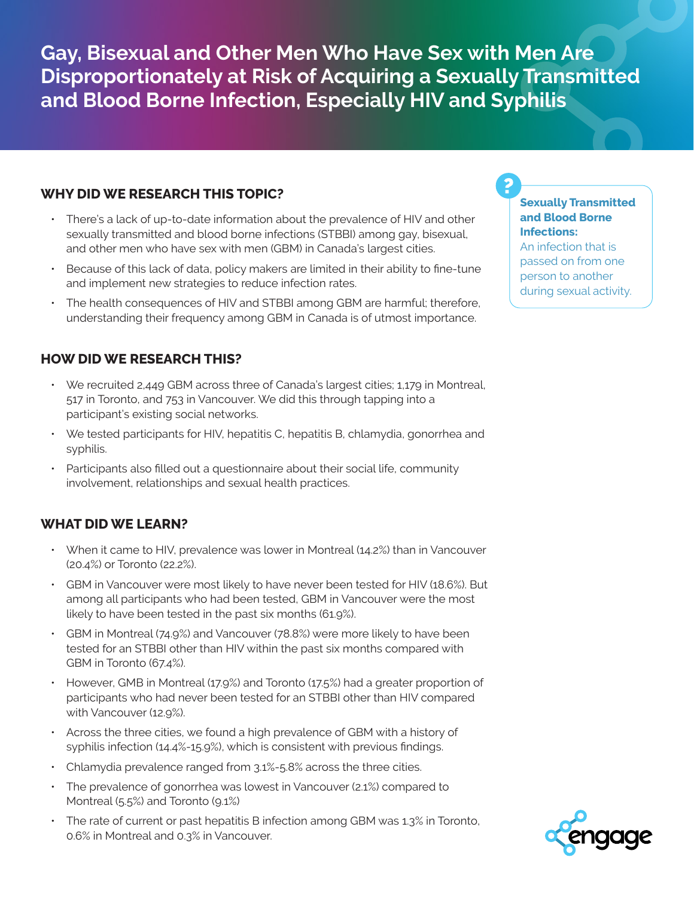**Gay, Bisexual and Other Men Who Have Sex with Men Are Disproportionately at Risk of Acquiring a Sexually Transmitted and Blood Borne Infection, Especially HIV and Syphilis**

## **WHY DID WE RESEARCH THIS TOPIC?**

- There's a lack of up-to-date information about the prevalence of HIV and other sexually transmitted and blood borne infections (STBBI) among gay, bisexual, and other men who have sex with men (GBM) in Canada's largest cities.
- Because of this lack of data, policy makers are limited in their ability to fine-tune and implement new strategies to reduce infection rates.
- The health consequences of HIV and STBBI among GBM are harmful; therefore, understanding their frequency among GBM in Canada is of utmost importance.

## **HOW DID WE RESEARCH THIS?**

- $\cdot$  We recruited 2,449 GBM across three of Canada's largest cities; 1,179 in Montreal, 517 in Toronto, and 753 in Vancouver. We did this through tapping into a participant's existing social networks.
- We tested participants for HIV, hepatitis C, hepatitis B, chlamydia, gonorrhea and syphilis.
- Participants also filled out a questionnaire about their social life, community involvement, relationships and sexual health practices.

## **WHAT DID WE LEARN?**

- When it came to HIV, prevalence was lower in Montreal (14.2%) than in Vancouver (20.4%) or Toronto (22.2%).
- GBM in Vancouver were most likely to have never been tested for HIV (18.6%). But among all participants who had been tested, GBM in Vancouver were the most likely to have been tested in the past six months (61.9%).
- GBM in Montreal (74.9%) and Vancouver (78.8%) were more likely to have been tested for an STBBI other than HIV within the past six months compared with GBM in Toronto (67.4%).
- However, GMB in Montreal (17.9%) and Toronto (17.5%) had a greater proportion of participants who had never been tested for an STBBI other than HIV compared with Vancouver (12.9%).
- Across the three cities, we found a high prevalence of GBM with a history of syphilis infection (14.4%-15.9%), which is consistent with previous findings.
- $\cdot$  Chlamydia prevalence ranged from 3.1%-5.8% across the three cities.
- The prevalence of gonorrhea was lowest in Vancouver (2.1%) compared to Montreal (5.5%) and Toronto (9.1%)
- $\cdot$  The rate of current or past hepatitis B infection among GBM was 1.3% in Toronto, 0.6% in Montreal and 0.3% in Vancouver.

### **Sexually Transmitted and Blood Borne Infections:**

An infection that is passed on from one person to another during sexual activity.